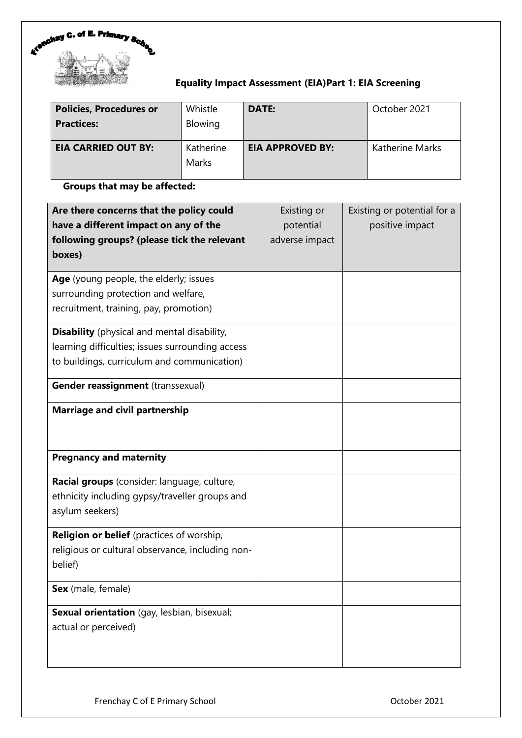

# **Equality Impact Assessment (EIA)Part 1: EIA Screening**

| <b>Policies, Procedures or</b><br><b>Practices:</b> | Whistle<br>Blowing | <b>DATE:</b>            | October 2021           |
|-----------------------------------------------------|--------------------|-------------------------|------------------------|
| <b>EIA CARRIED OUT BY:</b>                          | Katherine<br>Marks | <b>EIA APPROVED BY:</b> | <b>Katherine Marks</b> |

# **Groups that may be affected:**

| Are there concerns that the policy could           | Existing or    | Existing or potential for a |
|----------------------------------------------------|----------------|-----------------------------|
| have a different impact on any of the              | potential      | positive impact             |
| following groups? (please tick the relevant        | adverse impact |                             |
| boxes)                                             |                |                             |
| Age (young people, the elderly; issues             |                |                             |
| surrounding protection and welfare,                |                |                             |
| recruitment, training, pay, promotion)             |                |                             |
| <b>Disability</b> (physical and mental disability, |                |                             |
| learning difficulties; issues surrounding access   |                |                             |
| to buildings, curriculum and communication)        |                |                             |
| Gender reassignment (transsexual)                  |                |                             |
| <b>Marriage and civil partnership</b>              |                |                             |
| <b>Pregnancy and maternity</b>                     |                |                             |
| Racial groups (consider: language, culture,        |                |                             |
| ethnicity including gypsy/traveller groups and     |                |                             |
| asylum seekers)                                    |                |                             |
| Religion or belief (practices of worship,          |                |                             |
| religious or cultural observance, including non-   |                |                             |
| belief)                                            |                |                             |
| Sex (male, female)                                 |                |                             |
| Sexual orientation (gay, lesbian, bisexual;        |                |                             |
| actual or perceived)                               |                |                             |
|                                                    |                |                             |
|                                                    |                |                             |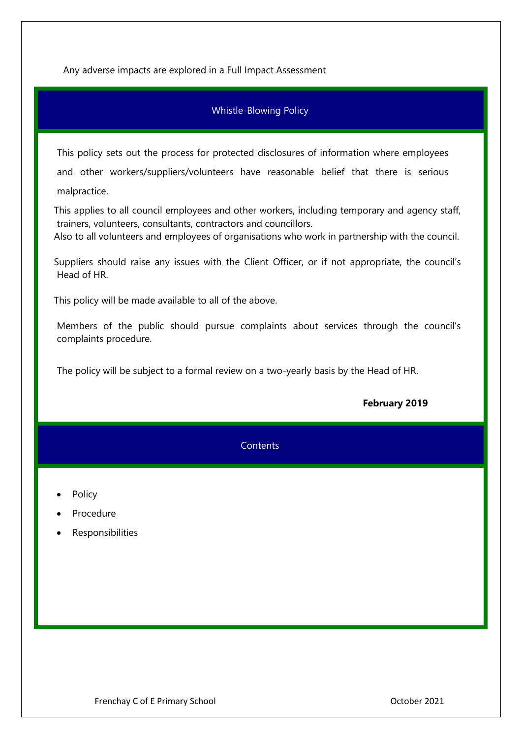Any adverse impacts are explored in a Full Impact Assessment

## Whistle-Blowing Policy.

This policy sets out the process for protected disclosures of information where employees and other workers/suppliers/volunteers have reasonable belief that there is serious malpractice.

 This applies to all council employees and other workers, including temporary and agency staff, trainers, volunteers, consultants, contractors and councillors.

Also to all volunteers and employees of organisations who work in partnership with the council.

 Suppliers should raise any issues with the Client Officer, or if not appropriate, the council's Head of HR.

This policy will be made available to all of the above.

Members of the public should pursue complaints about services through the council's complaints procedure.

The policy will be subject to a formal review on a two-yearly basis by the Head of HR.

| February 2019 |  |
|---------------|--|
|---------------|--|

|                                               | <b>Contents</b> |
|-----------------------------------------------|-----------------|
| • Policy<br>• Procedure<br>• Responsibilities |                 |
|                                               |                 |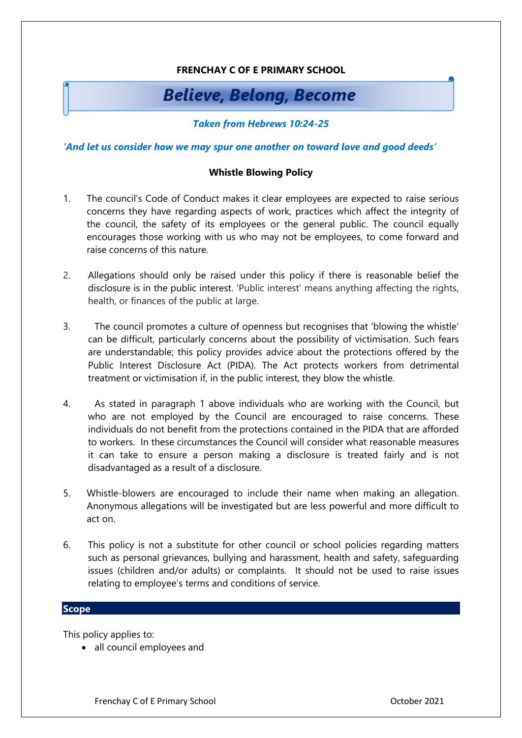# **FRENCHAY C OF E PRIMARY SCHOOL**

# **Believe, Belong, Become**

## *Taken from Hebrews 10:24-25*

*'And let us consider how we may spur one another on toward love and good deeds'*

#### **Whistle Blowing Policy**

- 1. The council's Code of Conduct makes it clear employees are expected to raise serious concerns they have regarding aspects of work, practices which affect the integrity of the council, the safety of its employees or the general public. The council equally encourages those working with us who may not be employees, to come forward and raise concerns of this nature.
- 2. Allegations should only be raised under this policy if there is reasonable belief the disclosure is in the public interest. 'Public interest' means anything affecting the rights, health, or finances of the public at large.
- 3. The council promotes a culture of openness but recognises that 'blowing the whistle' can be difficult, particularly concerns about the possibility of victimisation. Such fears are understandable; this policy provides advice about the protections offered by the Public Interest Disclosure Act (PIDA). The Act protects workers from detrimental treatment or victimisation if, in the public interest, they blow the whistle.
- 4. As stated in paragraph 1 above individuals who are working with the Council, but who are not employed by the Council are encouraged to raise concerns. These individuals do not benefit from the protections contained in the PIDA that are afforded to workers. In these circumstances the Council will consider what reasonable measures it can take to ensure a person making a disclosure is treated fairly and is not disadvantaged as a result of a disclosure.
- 5. Whistle-blowers are encouraged to include their name when making an allegation. Anonymous allegations will be investigated but are less powerful and more difficult to act on.
- 6. This policy is not a substitute for other council or school policies regarding matters such as personal grievances, bullying and harassment, health and safety, safeguarding issues (children and/or adults) or complaints. It should not be used to raise issues relating to employee's terms and conditions of service.

## **Scope**

This policy applies to:

• all council employees and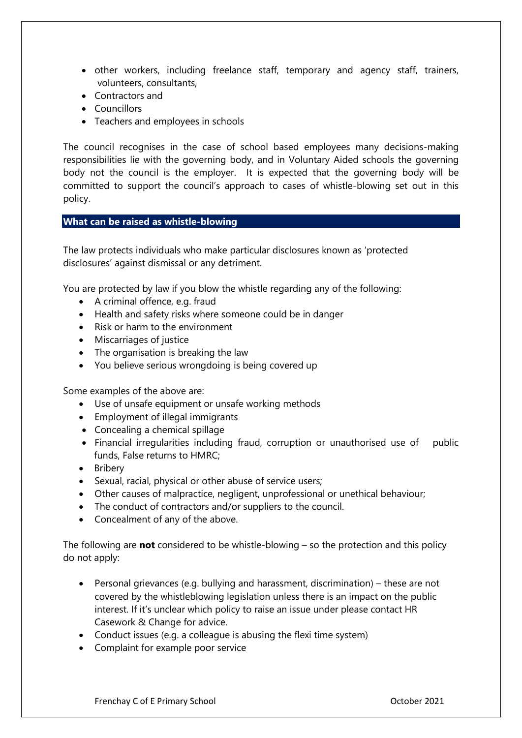- other workers, including freelance staff, temporary and agency staff, trainers, volunteers, consultants,
- Contractors and
- Councillors
- Teachers and employees in schools

The council recognises in the case of school based employees many decisions-making responsibilities lie with the governing body, and in Voluntary Aided schools the governing body not the council is the employer. It is expected that the governing body will be committed to support the council's approach to cases of whistle-blowing set out in this policy.

## **What can be raised as whistle-blowing**

The law protects individuals who make particular disclosures known as 'protected disclosures' against dismissal or any detriment.

You are protected by law if you blow the whistle regarding any of the following:

- A criminal offence, e.g. fraud
- Health and safety risks where someone could be in danger
- Risk or harm to the environment
- Miscarriages of justice
- The organisation is breaking the law
- You believe serious wrongdoing is being covered up

Some examples of the above are:

- Use of unsafe equipment or unsafe working methods
- Employment of illegal immigrants
- Concealing a chemical spillage
- Financial irregularities including fraud, corruption or unauthorised use of public funds, False returns to HMRC;
- Bribery
- Sexual, racial, physical or other abuse of service users;
- Other causes of malpractice, negligent, unprofessional or unethical behaviour;
- The conduct of contractors and/or suppliers to the council.
- Concealment of any of the above.

The following are **not** considered to be whistle-blowing – so the protection and this policy do not apply:

- Personal grievances (e.g. bullying and harassment, discrimination) these are not covered by the whistleblowing legislation unless there is an impact on the public interest. If it's unclear which policy to raise an issue under please contact HR Casework & Change for advice.
- Conduct issues (e.g. a colleague is abusing the flexi time system)
- Complaint for example poor service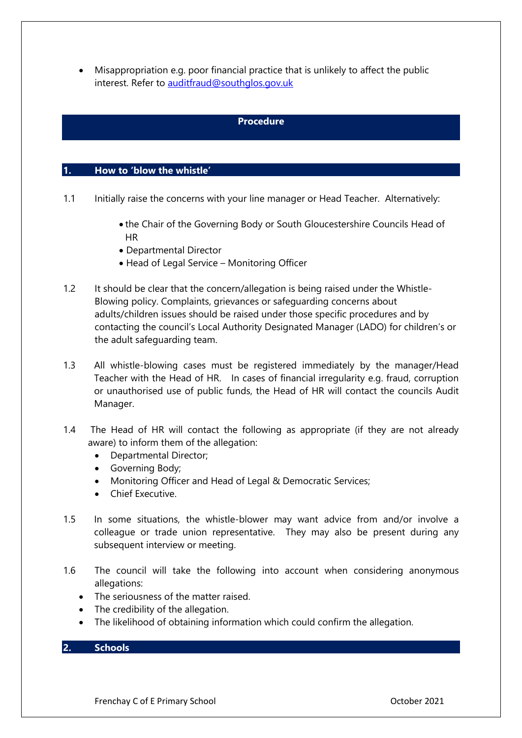• Misappropriation e.g. poor financial practice that is unlikely to affect the public interest. Refer to [auditfraud@southglos.gov.uk](mailto:auditfraud@southglos.gov.uk)

# **Procedure**

#### **1. How to 'blow the whistle'**

- 1.1 Initially raise the concerns with your line manager or Head Teacher. Alternatively:
	- the Chair of the Governing Body or South Gloucestershire Councils Head of HR
	- Departmental Director
	- Head of Legal Service Monitoring Officer
- 1.2 It should be clear that the concern/allegation is being raised under the Whistle-Blowing policy. Complaints, grievances or safeguarding concerns about adults/children issues should be raised under those specific procedures and by contacting the council's Local Authority Designated Manager (LADO) for children's or the adult safeguarding team.
- 1.3 All whistle-blowing cases must be registered immediately by the manager/Head Teacher with the Head of HR. In cases of financial irregularity e.g. fraud, corruption or unauthorised use of public funds, the Head of HR will contact the councils Audit Manager.
- 1.4 The Head of HR will contact the following as appropriate (if they are not already aware) to inform them of the allegation:
	- Departmental Director;
	- Governing Body;
	- Monitoring Officer and Head of Legal & Democratic Services;
	- Chief Executive.
- 1.5 In some situations, the whistle-blower may want advice from and/or involve a colleague or trade union representative. They may also be present during any subsequent interview or meeting.
- 1.6 The council will take the following into account when considering anonymous allegations:
	- The seriousness of the matter raised.
	- The credibility of the allegation.
	- The likelihood of obtaining information which could confirm the allegation.

# **2. Schools**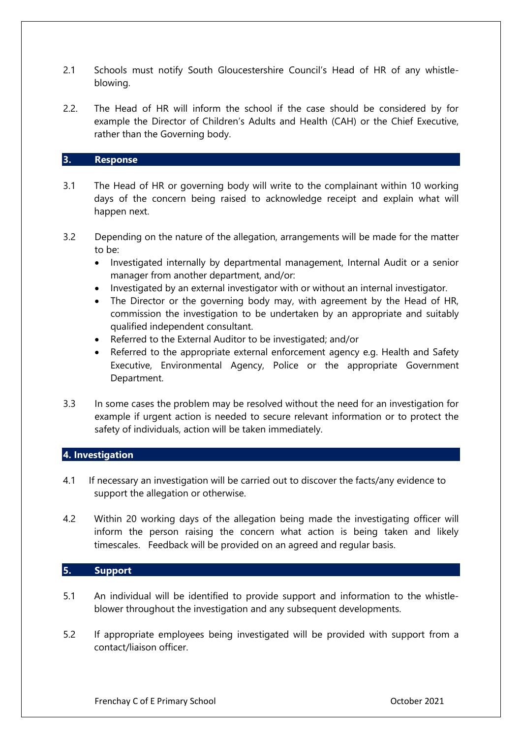- 2.1 Schools must notify South Gloucestershire Council's Head of HR of any whistleblowing.
- 2.2. The Head of HR will inform the school if the case should be considered by for example the Director of Children's Adults and Health (CAH) or the Chief Executive, rather than the Governing body.

# **3. Response**

- 3.1 The Head of HR or governing body will write to the complainant within 10 working days of the concern being raised to acknowledge receipt and explain what will happen next.
- 3.2 Depending on the nature of the allegation, arrangements will be made for the matter to be:
	- Investigated internally by departmental management, Internal Audit or a senior manager from another department, and/or:
	- Investigated by an external investigator with or without an internal investigator.
	- The Director or the governing body may, with agreement by the Head of HR, commission the investigation to be undertaken by an appropriate and suitably qualified independent consultant.
	- Referred to the External Auditor to be investigated; and/or
	- Referred to the appropriate external enforcement agency e.g. Health and Safety Executive, Environmental Agency, Police or the appropriate Government Department.
- 3.3 In some cases the problem may be resolved without the need for an investigation for example if urgent action is needed to secure relevant information or to protect the safety of individuals, action will be taken immediately.

#### **4. Investigation**

- 4.1 If necessary an investigation will be carried out to discover the facts/any evidence to support the allegation or otherwise.
- 4.2 Within 20 working days of the allegation being made the investigating officer will inform the person raising the concern what action is being taken and likely timescales. Feedback will be provided on an agreed and regular basis.

# **5. Support**

- 5.1 An individual will be identified to provide support and information to the whistleblower throughout the investigation and any subsequent developments.
- 5.2 If appropriate employees being investigated will be provided with support from a contact/liaison officer.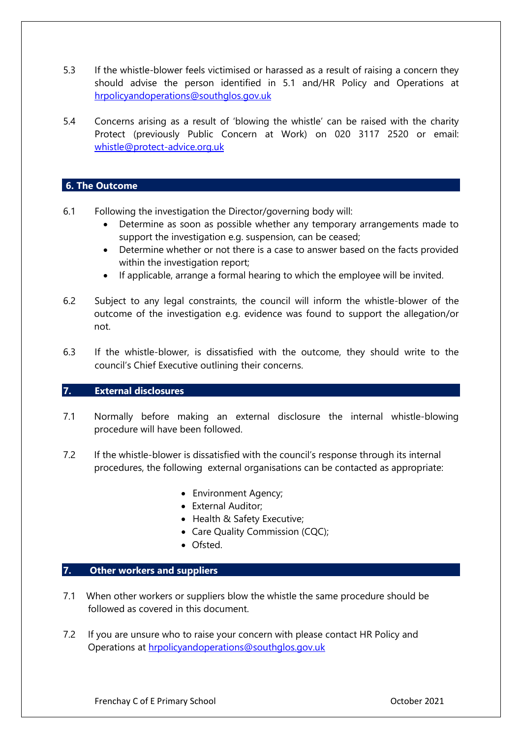- 5.3 If the whistle-blower feels victimised or harassed as a result of raising a concern they should advise the person identified in 5.1 and/HR Policy and Operations at [hrpolicyandoperations@southglos.gov.uk](mailto:hrpolicyandoperations@southglos.gov.uk)
- 5.4 Concerns arising as a result of 'blowing the whistle' can be raised with the charity Protect (previously Public Concern at Work) on 020 3117 2520 or email: [whistle@protect-advice.org.uk](mailto:whistle@protect-advice.org.uk)

### **6. The Outcome**

- 6.1 Following the investigation the Director/governing body will:
	- Determine as soon as possible whether any temporary arrangements made to support the investigation e.g. suspension, can be ceased;
	- Determine whether or not there is a case to answer based on the facts provided within the investigation report;
	- If applicable, arrange a formal hearing to which the employee will be invited.
- 6.2 Subject to any legal constraints, the council will inform the whistle-blower of the outcome of the investigation e.g. evidence was found to support the allegation/or not.
- 6.3 If the whistle-blower, is dissatisfied with the outcome, they should write to the council's Chief Executive outlining their concerns.

## **7. External disclosures**

- 7.1 Normally before making an external disclosure the internal whistle-blowing procedure will have been followed.
- 7.2 If the whistle-blower is dissatisfied with the council's response through its internal procedures, the following external organisations can be contacted as appropriate:
	- Environment Agency;
	- External Auditor;
	- Health & Safety Executive;
	- Care Quality Commission (CQC);
	- Ofsted.

# **7. Other workers and suppliers**

- 7.1 When other workers or suppliers blow the whistle the same procedure should be followed as covered in this document.
- 7.2 If you are unsure who to raise your concern with please contact HR Policy and Operations at [hrpolicyandoperations@southglos.gov.uk](mailto:hrpolicyandoperations@southglos.gov.uk)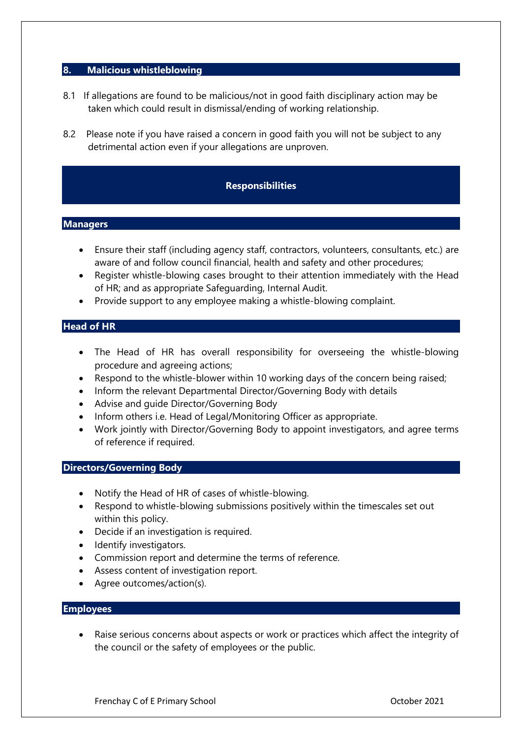## **8. Malicious whistleblowing**

- 8.1 If allegations are found to be malicious/not in good faith disciplinary action may be taken which could result in dismissal/ending of working relationship.
- 8.2 Please note if you have raised a concern in good faith you will not be subject to any detrimental action even if your allegations are unproven.

#### **Responsibilities**

#### **Managers**

- Ensure their staff (including agency staff, contractors, volunteers, consultants, etc.) are aware of and follow council financial, health and safety and other procedures;
- Register whistle-blowing cases brought to their attention immediately with the Head of HR; and as appropriate Safeguarding, Internal Audit.
- Provide support to any employee making a whistle-blowing complaint.

#### **Head of HR**

- The Head of HR has overall responsibility for overseeing the whistle-blowing procedure and agreeing actions;
- Respond to the whistle-blower within 10 working days of the concern being raised;
- Inform the relevant Departmental Director/Governing Body with details
- Advise and guide Director/Governing Body
- Inform others i.e. Head of Legal/Monitoring Officer as appropriate.
- Work jointly with Director/Governing Body to appoint investigators, and agree terms of reference if required.

#### **Directors/Governing Body**

- Notify the Head of HR of cases of whistle-blowing.
- Respond to whistle-blowing submissions positively within the timescales set out within this policy.
- Decide if an investigation is required.
- Identify investigators.
- Commission report and determine the terms of reference.
- Assess content of investigation report.
- Agree outcomes/action(s).

## **Employees**

Raise serious concerns about aspects or work or practices which affect the integrity of the council or the safety of employees or the public.